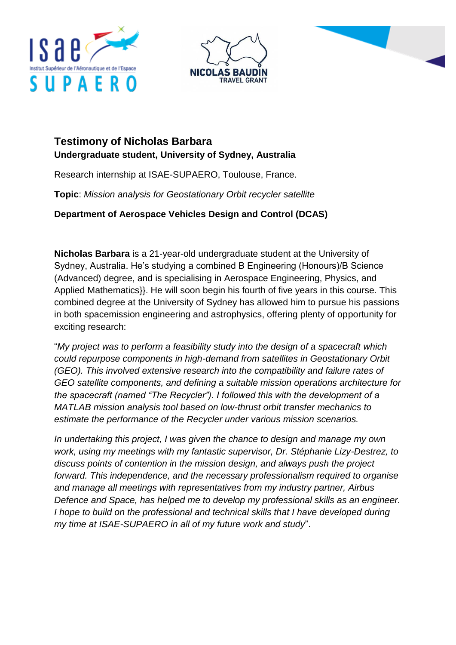





## **Testimony of Nicholas Barbara Undergraduate student, University of Sydney, Australia**

Research internship at ISAE-SUPAERO, Toulouse, France.

**Topic**: *Mission analysis for Geostationary Orbit recycler satellite*

**Department of Aerospace Vehicles Design and Control (DCAS)**

**Nicholas Barbara** is a 21-year-old undergraduate student at the University of Sydney, Australia. He's studying a combined B Engineering (Honours)/B Science (Advanced) degree, and is specialising in Aerospace Engineering, Physics, and Applied Mathematics}}. He will soon begin his fourth of five years in this course. This combined degree at the University of Sydney has allowed him to pursue his passions in both spacemission engineering and astrophysics, offering plenty of opportunity for exciting research:

"*My project was to perform a feasibility study into the design of a spacecraft which could repurpose components in high-demand from satellites in Geostationary Orbit (GEO). This involved extensive research into the compatibility and failure rates of GEO satellite components, and defining a suitable mission operations architecture for the spacecraft (named "The Recycler"). I followed this with the development of a MATLAB mission analysis tool based on low-thrust orbit transfer mechanics to estimate the performance of the Recycler under various mission scenarios.*

*In undertaking this project, I was given the chance to design and manage my own work, using my meetings with my fantastic supervisor, Dr. Stéphanie Lizy-Destrez, to discuss points of contention in the mission design, and always push the project forward. This independence, and the necessary professionalism required to organise and manage all meetings with representatives from my industry partner, Airbus Defence and Space, has helped me to develop my professional skills as an engineer. I hope to build on the professional and technical skills that I have developed during my time at ISAE-SUPAERO in all of my future work and study*".